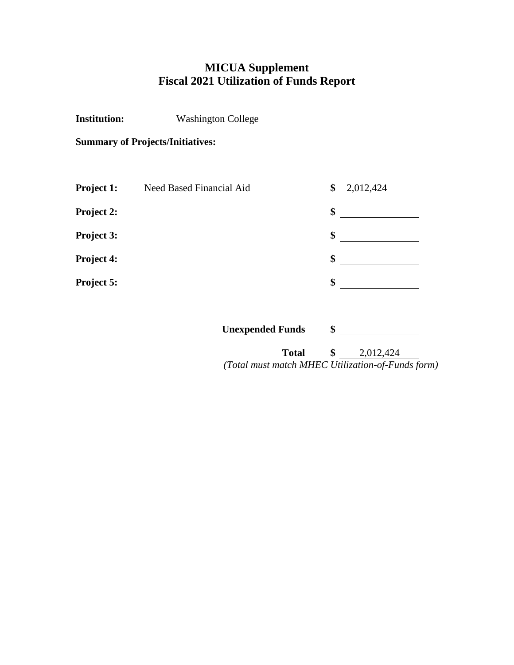# **MICUA Supplement Fiscal 2021 Utilization of Funds Report**

**Institution:** Washington College

**Summary of Projects/Initiatives:**

| Project 1:        | Need Based Financial Aid | \$<br>2,012,424 |
|-------------------|--------------------------|-----------------|
| <b>Project 2:</b> |                          | \$              |
| Project 3:        |                          | \$              |
| Project 4:        |                          | \$              |
| Project 5:        |                          | \$              |

| <b>Unexpended Funds</b>                           |           |
|---------------------------------------------------|-----------|
| Total                                             | 2,012,424 |
| (Total must match MHEC Utilization-of-Funds form) |           |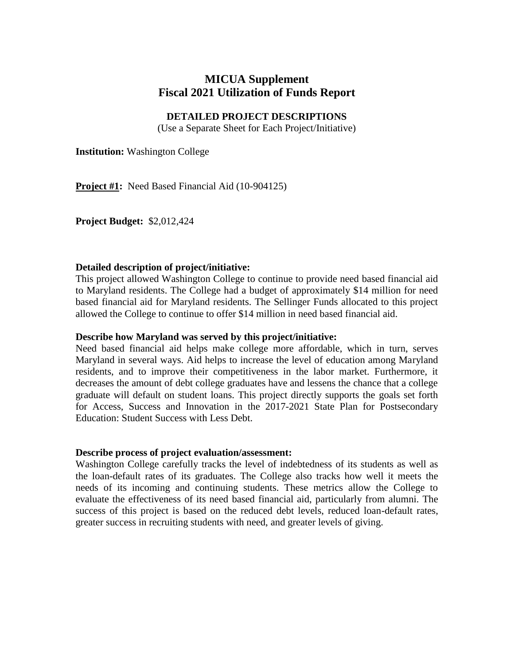# **MICUA Supplement Fiscal 2021 Utilization of Funds Report**

## **DETAILED PROJECT DESCRIPTIONS**

(Use a Separate Sheet for Each Project/Initiative)

**Institution:** Washington College

**Project #1:** Need Based Financial Aid (10-904125)

**Project Budget:** \$2,012,424

## **Detailed description of project/initiative:**

This project allowed Washington College to continue to provide need based financial aid to Maryland residents. The College had a budget of approximately \$14 million for need based financial aid for Maryland residents. The Sellinger Funds allocated to this project allowed the College to continue to offer \$14 million in need based financial aid.

### **Describe how Maryland was served by this project/initiative:**

Need based financial aid helps make college more affordable, which in turn, serves Maryland in several ways. Aid helps to increase the level of education among Maryland residents, and to improve their competitiveness in the labor market. Furthermore, it decreases the amount of debt college graduates have and lessens the chance that a college graduate will default on student loans. This project directly supports the goals set forth for Access, Success and Innovation in the 2017-2021 State Plan for Postsecondary Education: Student Success with Less Debt.

### **Describe process of project evaluation/assessment:**

Washington College carefully tracks the level of indebtedness of its students as well as the loan-default rates of its graduates. The College also tracks how well it meets the needs of its incoming and continuing students. These metrics allow the College to evaluate the effectiveness of its need based financial aid, particularly from alumni. The success of this project is based on the reduced debt levels, reduced loan-default rates, greater success in recruiting students with need, and greater levels of giving.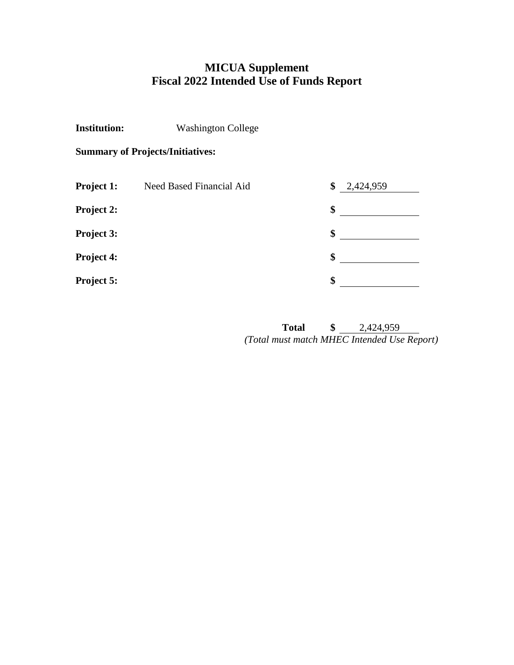# **MICUA Supplement Fiscal 2022 Intended Use of Funds Report**

**Institution:** Washington College

**Summary of Projects/Initiatives:** 

| Project 1:        | Need Based Financial Aid | \$<br>2,424,959 |
|-------------------|--------------------------|-----------------|
| <b>Project 2:</b> |                          | \$              |
| Project 3:        |                          | \$              |
| Project 4:        |                          | \$              |
| Project 5:        |                          | \$              |

**Total \$** 2,424,959 *(Total must match MHEC Intended Use Report)*